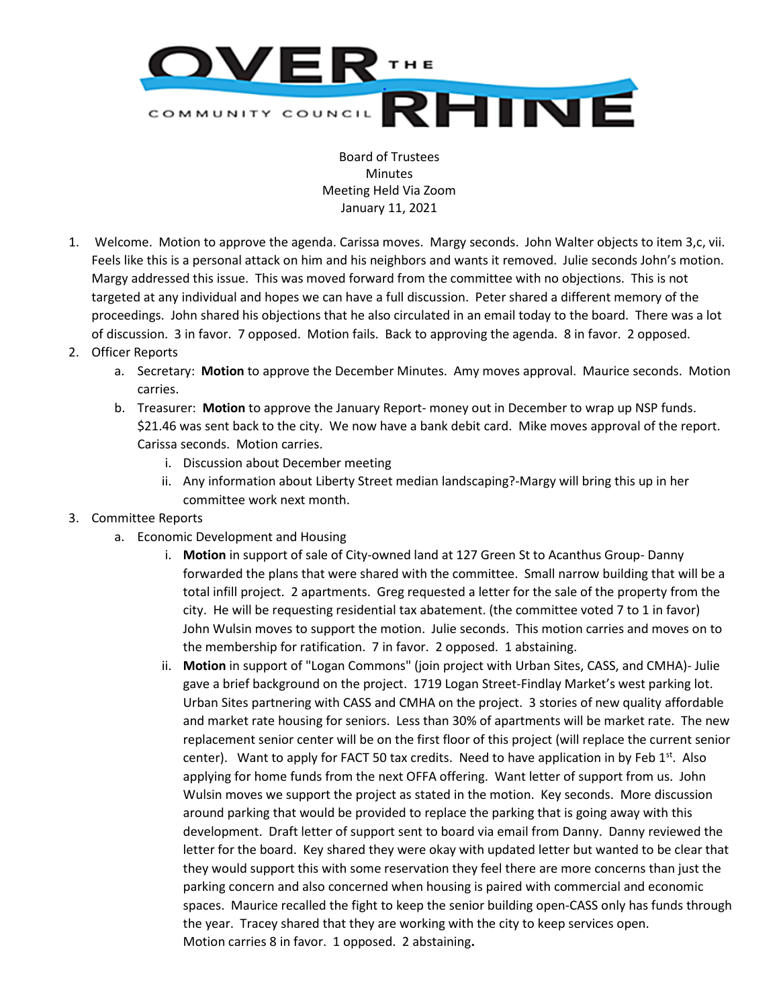

Board of Trustees **Minutes** Meeting Held Via Zoom January 11, 2021

- 1. Welcome. Motion to approve the agenda. Carissa moves. Margy seconds. John Walter objects to item 3,c, vii. Feels like this is a personal attack on him and his neighbors and wants it removed. Julie seconds John's motion. Margy addressed this issue. This was moved forward from the committee with no objections. This is not targeted at any individual and hopes we can have a full discussion. Peter shared a different memory of the proceedings. John shared his objections that he also circulated in an email today to the board. There was a lot of discussion. 3 in favor. 7 opposed. Motion fails. Back to approving the agenda. 8 in favor. 2 opposed.
- 2. Officer Reports
	- a. Secretary: **Motion** to approve the December Minutes. Amy moves approval. Maurice seconds. Motion carries.
	- b. Treasurer: **Motion** to approve the January Report- money out in December to wrap up NSP funds. \$21.46 was sent back to the city. We now have a bank debit card. Mike moves approval of the report. Carissa seconds. Motion carries.
		- i. Discussion about December meeting
		- ii. Any information about Liberty Street median landscaping?-Margy will bring this up in her committee work next month.
- 3. Committee Reports
	- a. Economic Development and Housing
		- i. **Motion** in support of sale of City-owned land at 127 Green St to Acanthus Group- Danny forwarded the plans that were shared with the committee. Small narrow building that will be a total infill project. 2 apartments. Greg requested a letter for the sale of the property from the city. He will be requesting residential tax abatement. (the committee voted 7 to 1 in favor) John Wulsin moves to support the motion. Julie seconds. This motion carries and moves on to the membership for ratification. 7 in favor. 2 opposed. 1 abstaining.
		- ii. **Motion** in support of "Logan Commons" (join project with Urban Sites, CASS, and CMHA)- Julie gave a brief background on the project. 1719 Logan Street-Findlay Market's west parking lot. Urban Sites partnering with CASS and CMHA on the project. 3 stories of new quality affordable and market rate housing for seniors. Less than 30% of apartments will be market rate. The new replacement senior center will be on the first floor of this project (will replace the current senior center). Want to apply for FACT 50 tax credits. Need to have application in by Feb  $1<sup>st</sup>$ . Also applying for home funds from the next OFFA offering. Want letter of support from us. John Wulsin moves we support the project as stated in the motion. Key seconds. More discussion around parking that would be provided to replace the parking that is going away with this development. Draft letter of support sent to board via email from Danny. Danny reviewed the letter for the board. Key shared they were okay with updated letter but wanted to be clear that they would support this with some reservation they feel there are more concerns than just the parking concern and also concerned when housing is paired with commercial and economic spaces. Maurice recalled the fight to keep the senior building open-CASS only has funds through the year. Tracey shared that they are working with the city to keep services open. Motion carries 8 in favor. 1 opposed. 2 abstaining**.**